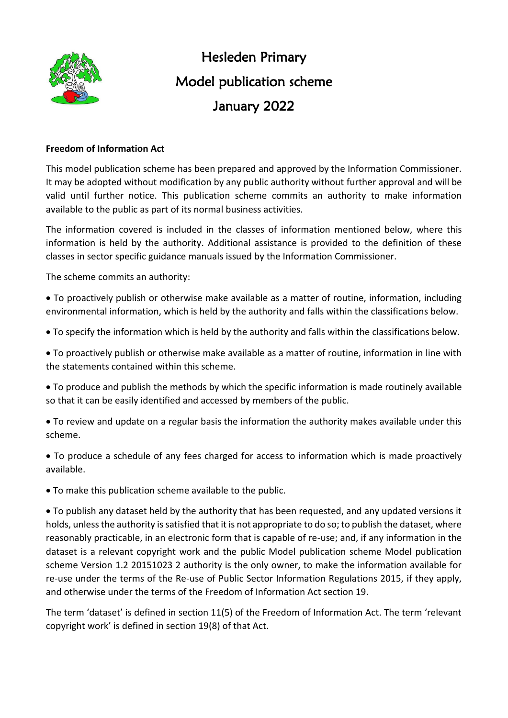

Hesleden Primary Model publication scheme January 2022

## **Freedom of Information Act**

This model publication scheme has been prepared and approved by the Information Commissioner. It may be adopted without modification by any public authority without further approval and will be valid until further notice. This publication scheme commits an authority to make information available to the public as part of its normal business activities.

The information covered is included in the classes of information mentioned below, where this information is held by the authority. Additional assistance is provided to the definition of these classes in sector specific guidance manuals issued by the Information Commissioner.

The scheme commits an authority:

• To proactively publish or otherwise make available as a matter of routine, information, including environmental information, which is held by the authority and falls within the classifications below.

• To specify the information which is held by the authority and falls within the classifications below.

• To proactively publish or otherwise make available as a matter of routine, information in line with the statements contained within this scheme.

• To produce and publish the methods by which the specific information is made routinely available so that it can be easily identified and accessed by members of the public.

• To review and update on a regular basis the information the authority makes available under this scheme.

• To produce a schedule of any fees charged for access to information which is made proactively available.

• To make this publication scheme available to the public.

• To publish any dataset held by the authority that has been requested, and any updated versions it holds, unless the authority is satisfied that it is not appropriate to do so; to publish the dataset, where reasonably practicable, in an electronic form that is capable of re-use; and, if any information in the dataset is a relevant copyright work and the public Model publication scheme Model publication scheme Version 1.2 20151023 2 authority is the only owner, to make the information available for re-use under the terms of the Re-use of Public Sector Information Regulations 2015, if they apply, and otherwise under the terms of the Freedom of Information Act section 19.

The term 'dataset' is defined in section 11(5) of the Freedom of Information Act. The term 'relevant copyright work' is defined in section 19(8) of that Act.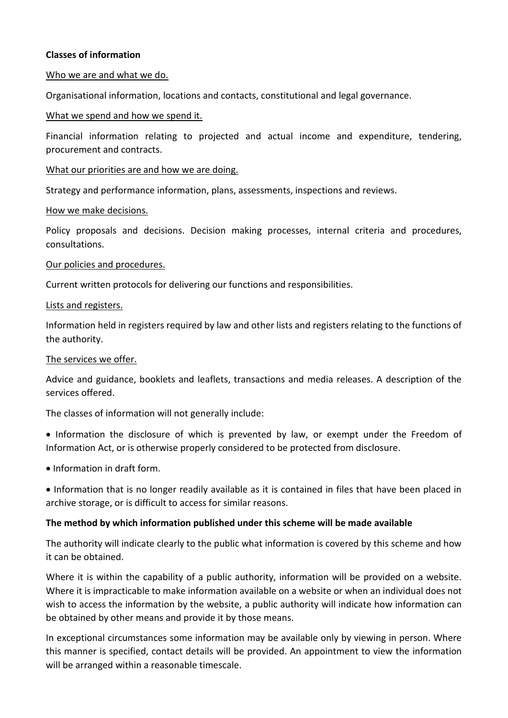## **Classes of information**

### Who we are and what we do.

Organisational information, locations and contacts, constitutional and legal governance.

### What we spend and how we spend it.

Financial information relating to projected and actual income and expenditure, tendering, procurement and contracts.

#### What our priorities are and how we are doing.

Strategy and performance information, plans, assessments, inspections and reviews.

#### How we make decisions.

Policy proposals and decisions. Decision making processes, internal criteria and procedures, consultations.

#### Our policies and procedures.

Current written protocols for delivering our functions and responsibilities.

#### Lists and registers.

Information held in registers required by law and other lists and registers relating to the functions of the authority.

### The services we offer.

Advice and guidance, booklets and leaflets, transactions and media releases. A description of the services offered.

The classes of information will not generally include:

- Information the disclosure of which is prevented by law, or exempt under the Freedom of Information Act, or is otherwise properly considered to be protected from disclosure.
- Information in draft form.
- Information that is no longer readily available as it is contained in files that have been placed in archive storage, or is difficult to access for similar reasons.

## **The method by which information published under this scheme will be made available**

The authority will indicate clearly to the public what information is covered by this scheme and how it can be obtained.

Where it is within the capability of a public authority, information will be provided on a website. Where it is impracticable to make information available on a website or when an individual does not wish to access the information by the website, a public authority will indicate how information can be obtained by other means and provide it by those means.

In exceptional circumstances some information may be available only by viewing in person. Where this manner is specified, contact details will be provided. An appointment to view the information will be arranged within a reasonable timescale.